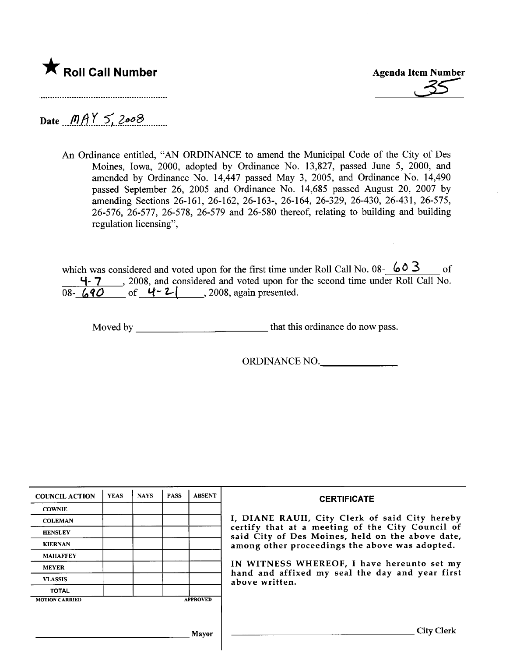

Date  $MAY 5, 2008$ 

An Ordinance entitled, "AN ORDINANCE to amend the Municipal Code of the City of Des Moines, Iowa, 2000, adopted by Ordinance No. 13,827, passed June 5, 2000, and amended by Ordinance No. 14,447 passed May 3, 2005, and Ordinance No. 14,490 passed September 26, 2005 and Ordinance No. 14,685 passed August 20, 2007 by amending Sections 26-161, 26-162, 26-163-, 26-164, 26-329, 26-430, 26-431, 26-575, 26-576, 26-577, 26-578, 26-579 and 26-580 thereof, relating to building and building regulation licensing",

which was considered and voted upon for the first time under Roll Call No. 08-  $603$  of l-. 7 , 2008, and considered and voted upon for the second time under Roll Call No.  $\overline{08-690}$  of  $4-2$ , 2008, again presented.

Moved by that this ordinance do now pass.

ORDINANCE NO.

| <b>COUNCIL ACTION</b> | <b>YEAS</b> | <b>NAYS</b> | <b>PASS</b> | <b>ABSENT</b>   | <b>CERTIFICATE</b>                                                                                                                                    |  |  |
|-----------------------|-------------|-------------|-------------|-----------------|-------------------------------------------------------------------------------------------------------------------------------------------------------|--|--|
| <b>COWNIE</b>         |             |             |             |                 |                                                                                                                                                       |  |  |
| <b>COLEMAN</b>        |             |             |             |                 | I, DIANE RAUH, City Clerk of said City hereby<br>certify that at a meeting of the City Council of<br>said City of Des Moines, held on the above date, |  |  |
| <b>HENSLEY</b>        |             |             |             |                 |                                                                                                                                                       |  |  |
| <b>KIERNAN</b>        |             |             |             |                 | among other proceedings the above was adopted.<br>IN WITNESS WHEREOF, I have hereunto set my                                                          |  |  |
| <b>MAHAFFEY</b>       |             |             |             |                 |                                                                                                                                                       |  |  |
| <b>MEYER</b>          |             |             |             |                 |                                                                                                                                                       |  |  |
| <b>VLASSIS</b>        |             |             |             |                 | hand and affixed my seal the day and year first<br>above written.                                                                                     |  |  |
| <b>TOTAL</b>          |             |             |             |                 |                                                                                                                                                       |  |  |
| <b>MOTION CARRIED</b> |             |             |             | <b>APPROVED</b> |                                                                                                                                                       |  |  |
|                       |             |             |             |                 |                                                                                                                                                       |  |  |
|                       |             |             |             | Mavor           | City Clerk                                                                                                                                            |  |  |
|                       |             |             |             |                 |                                                                                                                                                       |  |  |

 $\overline{\phantom{a}}$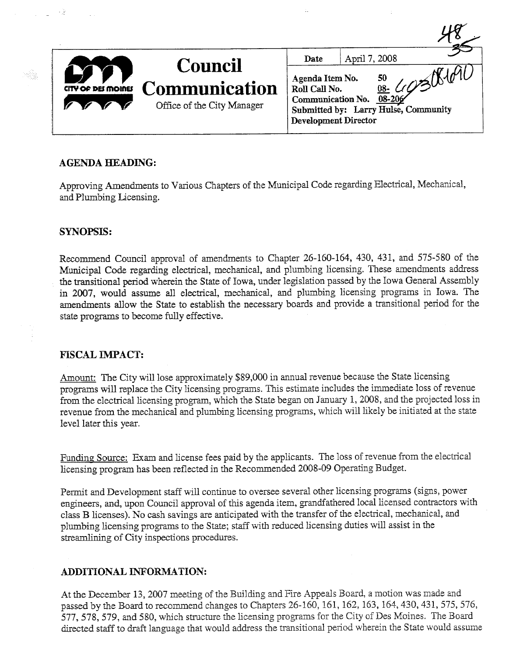|                           | <b>Council</b>                                     | April 7, 2008<br>Date                                                                                                                                          |
|---------------------------|----------------------------------------------------|----------------------------------------------------------------------------------------------------------------------------------------------------------------|
| <b>CITY OF DEI MOINES</b> | <b>Communication</b><br>Office of the City Manager | Agenda Item No.<br>50<br>Roll Call No.<br><u>08-</u> $\epsilon$<br>08-206<br>Communication No.<br>Submitted by: Larry Hulse, Community<br>Development Director |

# AGENDA HEADING:

Approving Amendments to Various Chapters of the Municipal Code regarding Electrical, Mechanical, and Plumbing Licensing.

# SYNOPSIS:

- 2

rég

Recommend Council approval of amendments to Chapter 26-160-164, 430, 431, and 575-580 of the Municipal Code regarding electrical, mechanical, and plumbing licensing. These amendments address the transitional period wherein the State of Iowa, under legislation passed by the Iowa General Assembly in 2007, would assume all electrical, mechanical, and plumbing licensing programs in Iowa. The amendments allow the State to establish the necessary boards and provide a transitional period for the state programs to become fully effective.

#### FISCAL IMPACT:

Amount: The City will lose approximately \$89,000 in annual revenue because the State licensing programs will replace the City licensing programs. This estimate includes the immediate loss of revenue from the electrical licensing program, which the State began on January 1, 2008, and the projected loss in revenue from the mechanical and plumbing licensing programs, which will likely be initiated at the state level later this year.

Funding Source: Exam and license fees paid by the applicants. The loss of revenue from the electrical licensing program has been reflected in the Recommended 2008-09 Operating Budget.

Permit and Development staff will continue to oversee several other licensing programs (signs, power engineers, and, upon Council approval of ths agenda item, grandfathered local licensed contractors with class B licenses). No cash savings are anticipated with the transfer of the electrical, mechanical, and plumbing licensing programs to the State; staff with reduced licensing duties will assist in the streamlining of City inspections procedures.

# ADDITIONAL INFORMATION:

At the December 13, 2007 meeting of the Building and Fire Appeals Board, a motion was made and passed by the Board to recommend changes to Chapters 26-160, 161, 162, 163, 164, 430, 431, 575, 576, 577, 578, 579, and 580, which structure the licensing programs for the City of Des Moines. The Board directed staff to draft language that would address the transitional period wherein the State would assume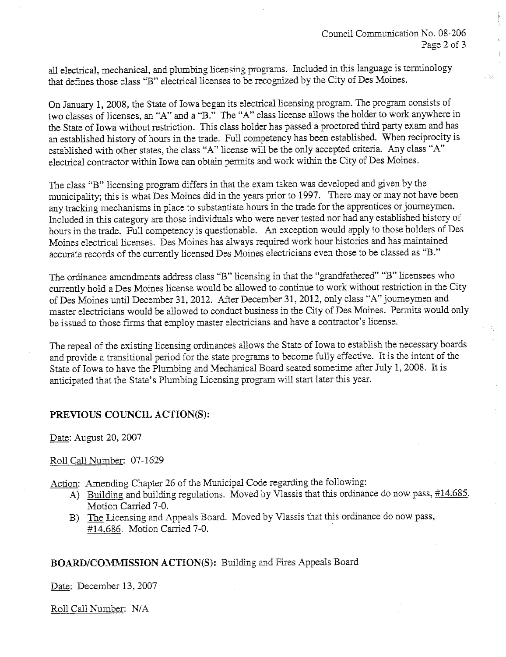all electrical, mechanical, and plumbing licensing programs. Included in this language is terminology that defines those class "B" electrical licenses to be recognized by the City of Des Moines.

On January 1, 2008, the State of Iowa began its electrical licensing program. The program consists of two classes of licenses, an "A" and a "B." The "A" class license alows the holder to work anywhere in the State of Iowa without restriction. This class holder has passed a proctored third party exam and has an established history of hours in the trade. Full competency has been established. When reciprocity is established with other states, the class "A" license wil be the only accepted criteria. Any class "A" electrical contractor within Iowa can obtain permits and work within the City of Des Moines.

The class "B" licensing program differs in that the exam taken was developed and given by the municipality; this is what Des Moines did in the years prior to 1997. There may or may not have been any tracking mechanisms in place to substantiate hours in the trade for the apprentices or journeymen. Included in ths category are those individuals who were never tested nor had any established history of hours in the trade. Full competency is questionable. An exception would apply to those holders of Des Moines electrical licenses. Des Moines has always required work hour histories and has maintained accurate records of the currently licensed Des Moines electricians even those to be classed as "B."

The ordinance amendments addess class "B" licensing in that the "grandfathered" "B" licensees who currently hold a Des Moines license would be allowed to continue to work without restriction in the City of Des Moines until December 31, 2012. After December 31, 2012, only class "A" journeymen and master electricians would be allowed to conduct business in the City of Des Moines. Permits would only be issued to those firms that employ master electricians and have a contractor's license.

The repeal of the existing licensing ordinances allows the State of Iowa to establish the necessary boards and provide a transitional period for the state programs to become fully effective. It is the intent of the State of Iowa to have the Plumbing and Mechanical Board seated sometime after July 1, 2008. It is anticipated that the State's Plumbing Licensing program will start later this year.

# PREVIOUS COUNCIL ACTION(S):

Date: August 20, 2007

#### Roll Call Number: 07-1629

Action: Amending Chapter 26 of the Municipal Code regarding the following:

- A) Building and building regulations. Moved by Vlassis that this ordinance do now pass, #14.685. Motion Carried 7-0.
- B) The Licensing and Appeals Board. Moved by Vlassis that this ordinance do now pass, #14,686. Motion Carried 7-0.

# BOARD/COMMISSION ACTION(S): Building and Fires Appeals Board

Date: December 13,2007

Roll Call Number: N/A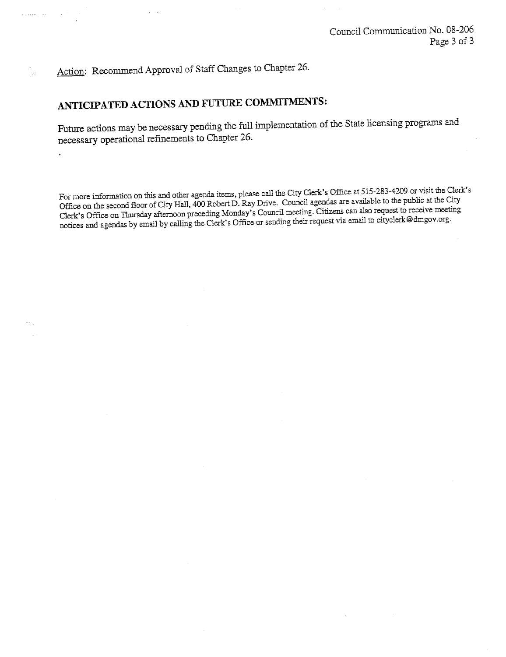Action: Recommend Approval of Staff Changes to Chapter 26.

 $\mathbf{r}$  ,  $\mathbf{r}$  ,  $\mathbf{r}$  ,  $\mathbf{r}$  ,  $\mathbf{r}$  ,

 $\mathcal{L}_{\mathcal{L}}$ 

# ANTICIPATED ACTIONS AND FUTURE COMMITMENTS:

Future actions may be necessary pending the full implementation of the State licensing programs and necessary operational refinements to Chapter 26.

For more information on this and other agenda items, please call the City Clerk's Office at 515-283-4209 or visit the Clerk's Office on the second floor of City Hall, 400 Robert D. Ray Drive. Council agendas are available to the public at the City Clerk's Office on Thursday afternoon preceding Monday's Council meeting. Citizens can also request to receive meeting notices and agendas by email by calling the Clerk's Office or sending their request via email to cityclerk@dmgov.org.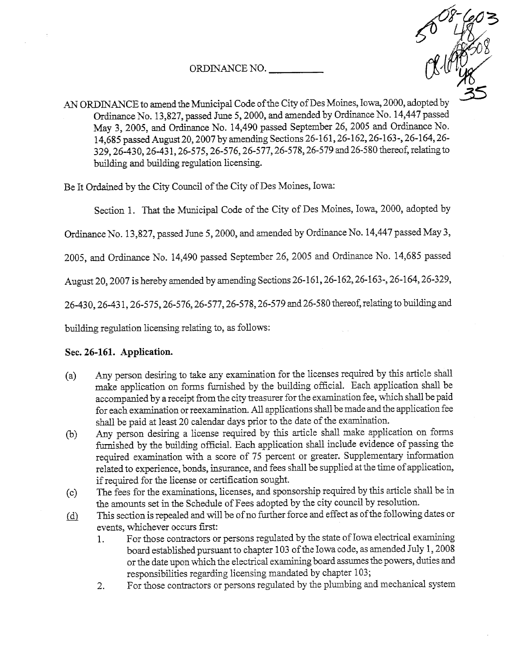ORDINANCE NO.



AN ORDINANCE to amend the Municipal Code of the City of Des Moines, Iowa, 2000, adopted by Ordinance No. 13,827, passed June 5, 2000, and amended by Ordinance No. 14,447 passed May 3, 2005, and Ordinance No. 14,490 passed September 26, 2005 and Ordinance No. 14,685 passed August 20, 2007 by amending Sections 26-161, 26-162, 26-163-, 26-164, 26-329, 26-430, 26-431, 26-575, 26-576, 26-577, 26-578, 26-579 and 26-580 thereof, relating to building and building regulation licensing.

Be It Ordained by the City Council of the City of Des Moines, Iowa:

Section 1. That the Municipal Code of the City of Des Moines, Iowa, 2000, adopted by

Ordinance No. 13,827, passed June 5, 2000, and amended by Ordiance No. 14,447 passed May 3,

2005, and Ordinance No. 14,490 passed September 26, 2005 and Ordinance No. 14,685 passed

August 20, 2007 is hereby amended by amending Sections 26-161, 26-162, 26-163-, 26-164, 26-329,

26-430, 26-431, 26-575, 26-576, 26-577, 26-578, 26-579 and 26-580 thereof, relating to building and

building regulation licensing relating to, as follows:

# Sec. 26-161. Application.

- (a) Any person desiring to take any examination for the licenses required by this article shall make application on forms furnished by the building official. Each application shall be accompanied by a receipt from the city treasurer for the examination fee, which shall be paid for each examination or reexamination. All applications shall be made and the application fee shall be paid at least 20 calendar days prior to the date of the examination.
- (b) Any person desiring a license required by this article shall make application on forms furnished by the building official. Each application shall include evidence of passing the required examination with a score of 75 percent or greater. Supplementary information related to experience, bonds, insurance, and fees shall be supplied at the time of application, if required for the license or certification sought.
- (c) The fees for the examtions, licenses, and sponsorship requied by ths aricle shal be in the amounts set in the Schedule of Fees adopted by the city council by resolution.
- $(d)$  This section is repealed and will be of no further force and effect as of the following dates or events, whichever occurs fist:
	- 1. For those contractors or persons regulated by the state of Iowa electrical examining board established pursuant to chapter 103 of the Iowa code, as amended July 1, 2008 or the date upon which the electrical examining board assumes the powers, duties and responsibilties regarding licensing mandated by chapter 103;
	- 2. For those contractors or persons regulated by the plumbing and mechancal system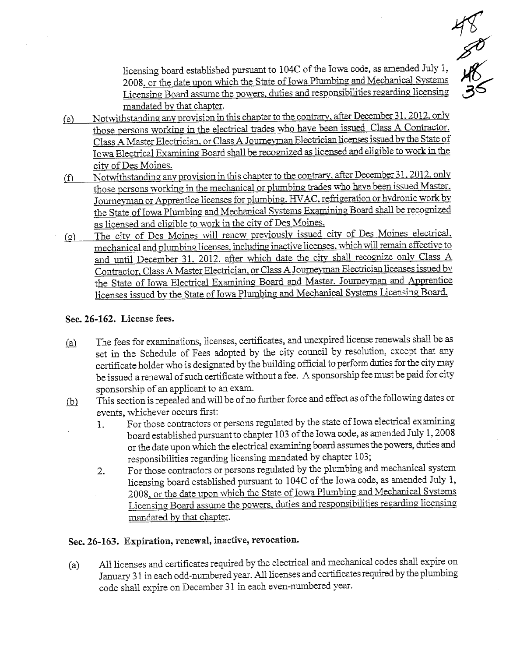$48^{2}$ 48<br>38

licensing board established pursuat to 104C of the Iowa code, as amended July 1, 2008. or the date upon which the State of Iowa Plumbing and Mechanical Systems Licensing Board assume the powers. duties and responsibilities regarding licensing mandated bv that chapter.

- (e)  $\overline{\text{Notwithstanding any provision in this chapter to the contrary, after December 31, 2012, only}}$ those persons working in the electrical trades who have been issued Class A Contractor. Class A Master Electrician, or Class A Journeyman Electrician licenses issued by the State of Iowa Electrical Examining Board shall be recognized as licensed and eligible to work in the city of Des Moines.
- $(f)$ Notwithstanding any provision in this chapter to the contrary, after December 31, 2012, only those persons working in the mechanical or plumbing trades who have been issued Master. Joureyman or Apprentice licenses for plumbing. HV AC. refrgeration or hvdronic work bv the State of Iowa Plumbing and Mechanical Systems Examining Board shall be recognized as licensed and eligible to work in the city of Des Moines.
- (g) The city of Des Moines will renew previously issued city of Des Moines electrical. mechanical and plumbing licenses, including inactive licenses, which will remain effective to and until December 31. 2012. after which date the city shall recognize only Class A Contractor, Class A Master Electrician, or Class A Journeyman Electrician licenses issued by the State of Iowa Electrical Examining Board and Master. Journeyman and Apprentice licenses issued by the State of Iowa Plumbing and Mechanical Systems Licensing Board.

# Sec. 26-162. License fees.

- (a) The fees for examinations, licenses, certificates, and unexpired license renewals shall be as set in the Schedule of Fees adopted by the city council by resolution, except that any certificate holder who is designated by the building official to perform duties for the city may be issued a renewal of such certificate without a fee. A sponsorship fee must be paid for city sponsorship of an applicant to an exam.
- $f_{\text{b}}$  This section is repealed and will be of no further force and effect as of the following dates or events, whichever occurs fist:
	- 1. For those contractors or persons regulated by the state of Iowa electrical examining board established pursuant to chapter 103 of the Iowa code, as amended July 1,2008 or the date upon which the electrical examining board assumes the powers, duties and responsibilities regarding licensing mandated by chapter 103;
	- 2. For those contractors or persons regulated by the plumbing and mechanical system licensing board established pursuat to 104C of the Iowa code, as amended July 1, 2008, or the date upon which the State of Iowa Plumbing and Mechanical Systems Licensing Board assume the powers, duties and responsibilities regarding licensing mandated bv that chapter.

# Sec. 26-163. Expiration, renewal, inactive, revocation.

(a) All licenses and certificates required by the electrical and mechanical codes shall expire on January 31 in each odd-numbered year. All licenses and certificates required by the plumbing code shall expire on December 31 in each even-numbered year.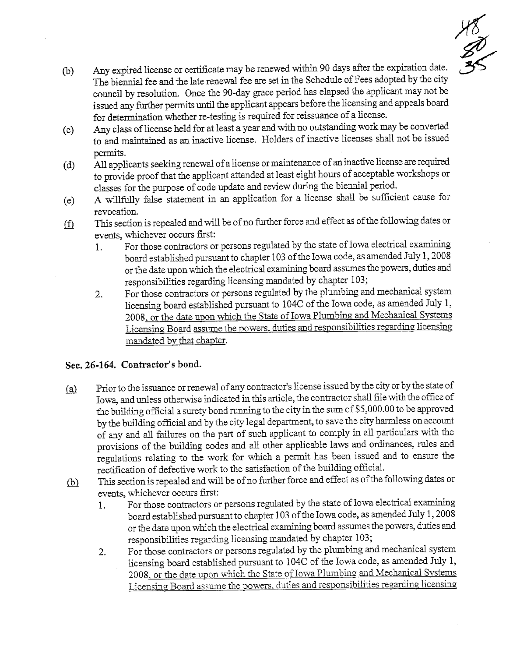

- (b) Any expired license or certificate may be renewed within 90 days after the expiration date. The biennial fee and the late renewal fee are set in the Schedule of Fees adopted by the city council by resolution. Once the 90-day grace period has elapsed the applicant may not be issued any further permits until the applicant appears before the licensing and appeals board for determination whether re-testing is required for reissuance of a license.
- (c) Any class of license held for at least a year and with no outstadig work may be converted to and maitaied as an inactive license. Holders of inactive licenses shall not be issued permits.
- (d) All applicants seeking renewal of a license or maintenance of an inactive license are required to provide proof that the applicant attended at least eight hours of acceptable workshops or classes for the purpose of code update and review during the biennial period.
- A willfully false statement in an application for a license shall be sufficient cause for revocation. (e)
- This section is repealed and will be of no further force and effect as of the following dates or events, whichever occurs fist:  $\underline{\textcircled{f}}$ 
	- 1. For those contractors or persons regulated by the state of Iowa electrical examining board established pursuant to chapter 103 of the Iowa code, as amended July 1, 2008 or the date upon which the electrical examining board assumes the powers, duties and responsibilities regarding licensing madated by chapter 103;
	- 2. For those contractors or persons reguated by the plumbing and mechancal system licensing board established pursuat to 104C of the Iowa code, as amended July 1, 2008. or the date upon which the State of Iowa Plumbing and Mechancal Svstems Licensing: Board assume the powers, duties and responsibilities regarding licensing mandated by that chapter.

# Sec. 26-164. Contractor's bond.

- (a) Prior to the issuance or renewal of any contractor's license issued by the city or by the state of Iowa, and unless otherwise indicated in this article, the contractor shall file with the office of the building official a surety bond running to the city in the sum of \$5,000.00 to be approved by the building official and by the city legal department, to save the city harmless on account of any and all failures on the part of such applicant to comply in all particulars with the provisions of the buidig codes and all other applicable laws and ordiances, rules and regulations relating to the work for which a permit has been issued and to ensure the rectification of defective work to the satisfaction of the building official.
- (b) This section is repealed and will be of no further force and effect as of the following dates or events, whichever occurs fist:
	- 1. For those contractors or persons regulated by the state of Iowa electrical examining board established pursuat to chapter 103 of the Iowa code, as amended July 1, 2008 or the date upon which the electrical examining board assumes the powers, duties and responsibilities regarding licensing mandated by chapter 103;
	- 2. For those contractors or persons reguated by the plumbing and mechancal system licensing board established pursuant to l04C of the Iowa code, as amended July 1, 2008. or the date upon which the State of Iowa Plumbing and Mechanical Systems Licensing Board assume the powers. duties and responsibilities regarding licensing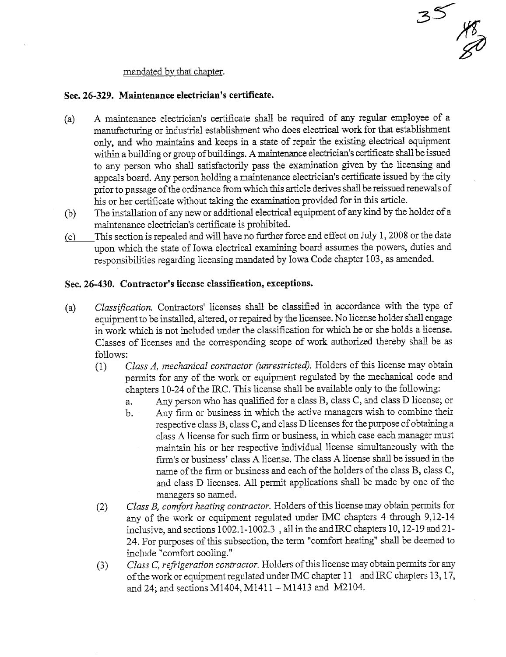#### mandated bv that chapter.

### Sec. 26-329. Maintenance electrician's certificate.

(a) A maintenance electrician's certificate shall be required of any regular employee of a manufacturing or industrial establishment who does electrical work for that establishment only, and who maintains and keeps in a state of repair the existing electrical equipment within a building or group of buildings. A maintenance electrician's certificate shall be issued to any person who shall satisfactorily pass the examination given by the licensing and appeals board. Any person holding a maintenance electrician's certificate issued by the city prior to passage of the ordinance from which this article derives shall be reissued renewals of his or her certificate without taking the examination provided for in this article.

35

**18.00** 

- (b) The installation of any new or additional electrical equipment of any kind by the holder of a maintenance electrician's certificate is prohibited.
- (c) This section is repealed and will have no further force and effect on July 1, 2008 or the date upon which the state of Iowa electrical examining board assumes the powers, duties and responsibilties regarding licensing mandated by Iowa Code chapter 103, as amended.

# Sec.26-430. Contractor's license classifcation, exceptions.

- (a) Classification. Contractors' licenses shall be classified in accordance with the type of equipment to be installed, altered, or repaired by the licensee. No license holder shall engage in work which is not included under the classification for which he or she holds a license. Classes of licenses and the corresponding scope of work authorized thereby shall be as follows:
	- permits for any of the work or equipment regulated by the mechanical code and Class A, mechanical contractor (unrestricted). Holders of this license may obtain chapters 10-24 of the IRC. This license shall be available only to the following:
		- a. Any person who has qualified for a class B, class C, and class D license; or
		- b. Any firm or business in which the active managers wish to combine their respective class B, class C, and class D licenses for the purpose of obtaining a class A license for such firm or business, in which case each manager must maintain his or her respective individual license simultaneously with the fim's or business' class A license. The class A license shall be issued in the name of the firm or business and each of the holders of the class B, class C, and class D licenses. All permit applications shall be made by one of the managers so named.
	- $\left( -\right)$  cractors by component in  $\sigma$ . Class B, comfort heating contractor. Holders of this license may obtain permits for any of the work or equipment reguated under IMC chapters 4 though 9,12-14 inclusive, and sections  $1002.1 - 1002.3$ , all in the and IRC chapters 10, 12-19 and 21-24. For purposes of this subsection, the term "comfort heating" shall be deemed to include "comfort cooling."
	- of the work or equipment regulated under IMC chapter 11 and IRC chapters 13, 17, Class C, refrigeration contractor. Holders of this license may obtain permits for any and 24; and sections M1404, M1411 - M1413 and M2104.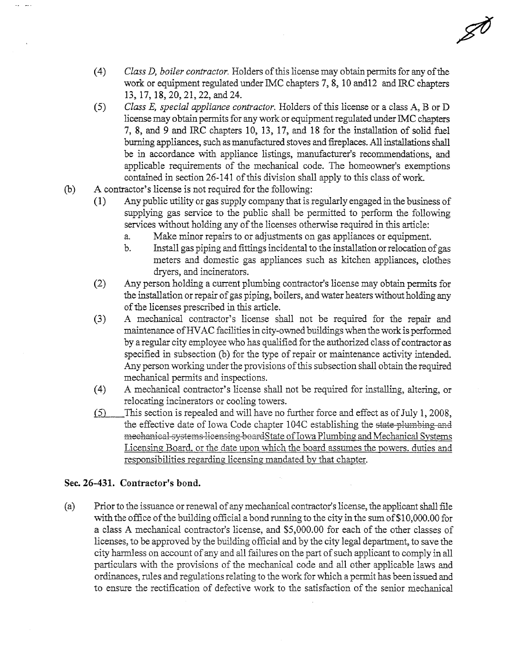$(4)$  Class D, boiler contractor. Holders of this license may obtain permits for any of the work or equipment regulated under IMC chapters 7, 8, 10 and 12 and IRC chapters 13, 17, 18,20,21,22, and 24.

ø

- $(5)$  Class E, special appliance contractor. Holders of this license or a class A, B or D license may obtain permits for any work or equipment regulated under IMC chapters 7, 8, and 9 and IRC chapters 10, 13, 17, and 18 for the installation of solid fuel burning appliances, such as manufactured stoves and fireplaces. All installations shall be in accordance with appliance listings, manufacturer's recommendations, and applicable requirements of the mechanical code. The homeowner's exemptions contained in section 26-141 of this division shall apply to this class of work.
- (b) A contractor's license is not required for the following:<br>(1) Any public utility or gas supply company that is  $\iota$ 
	- Any public utility or gas supply company that is regularly engaged in the business of supplying gas service to the public shall be permitted to perform the following services without holding any of the licenses otherwise required in this article:
		- a. Make mior repais to or adjustments on gas appliances or equipment.
		- b. Install gas piping and fittings incidental to the installation or relocation of gas meters and domestic gas appliances such as kitchen appliances, clothes dryers, and incinerators.
	- (2) Any person holding a current plumbing contractor's license may obtain permits for the installation or repair of gas piping, boilers, and water heaters without holding any of the licenses prescribed in this article.
	- (3) A mechanical contractor's license shall not be required for the repair and maintenance of HVAC facilities in city-owned buildings when the work is performed by a regular city employee who has qualified for the authorized class of contractor as specified in subsection (b) for the type of repair or maintenance activity intended. Any person working under the provisions of this subsection shall obtain the required mechanical permits and inspections.
	- (4) A mechanical contractor's license shall not be required for installing, altering, or relocating incinerators or cooling towers.
	- (5) This section is repealed and will have no further force and effect as of July 1, 2008, the effective date of Iowa Code chapter 104C establishing the state plumbing and mechanical systems licensing board State of Iowa Plumbing and Mechanical Systems Licensing Board. or the date upon which the board assumes the powers. duties and responsibilties regarding licensing mandated by that chapter.

#### Sec. 26-431. Contractor's bond.

(a) Prior to the issuance or renewal of any mechanical contractor's license, the applicant shall file with the office of the building official a bond running to the city in the sum of  $$10,000.00$  for a class A mechancal contractor's license, and \$5,000.00 for each of the other classes of licenses, to be approved by the building official and by the city legal department, to save the city harmless on account of any and all failures on the part of such applicant to comply in all particulars with the provisions of the mechanical code and all other applicable laws and ordinances, rules and regulations relating to the work for which a permit has been issued and to ensure the rectification of defective work to the satisfaction of the senior mechancal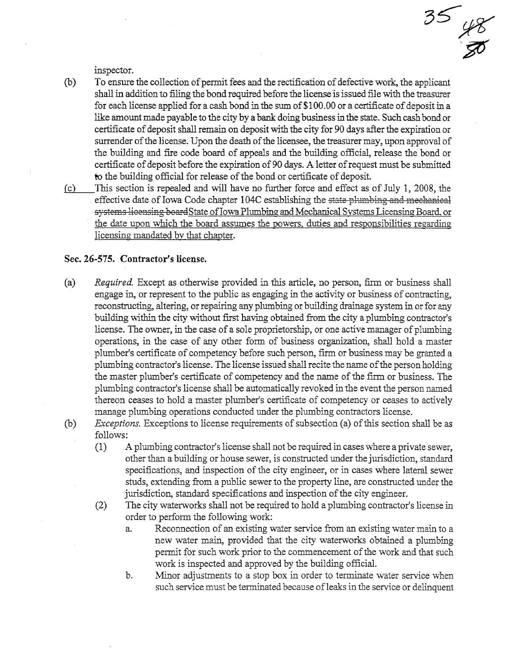inspector.

(b) To ensure the collection of permit fees and the rectification of defective work, the applicant shall in addition to filing the bond required before the license is issued file with the treasurer for each license applied for a cash bond in the sum of  $$100.00$  or a certificate of deposit in a like amount made payable to the city by a bank doing business in the state. Such cash bond or certificate of deposit shall remain on deposit with the city for 90 days after the expiration or surender of the license. Upon the death of the licensee, the treasurer may, upon approval of the building and fire code board of appeals and the building official, release the bond or certifcate of deposit before the expiration of 90 days. A letter of request must be submitted to the building official for release of the bond or certificate of deposit.

 $\frac{35}{8}$ 

 $(c)$  This section is repealed and will have no further force and effect as of July 1, 2008, the effective date of Iowa Code chapter 104C establishing the <del>state plumbing and mechanical</del> systems licensing board State of Iowa Plumbing and Mechanical Systems Licensing Board, or the date upon which the board assumes the powers. duties and responsibilties regarding licensing mandated by that chapter.

#### Sec. 26-575. Contractor's license.

- (a) Required. Except as otherwise provided in this article, no person, firm or business shall engage in, or represent to the public as engaging in the activity or business of contracting, reconstructing, altering, or repairing any plumbing or building drainage system in or for any building within the city without first having obtained from the city a plumbing contractor's license. The owner, in the case of a sole proprietorship, or one active manager of plumbing operations, in the case of any other form of business organization, shall hold a master plumber's certificate of competency before such person, firm or business may be granted a plumbing contractor's license. The license issued shall recite the name of the person holding the master plumber's certificate of competency and the name of the firm or business. The plumbing contractor's license shall be automatically revoked in the event the person named thereon ceases to hold a master plumber's certifcate of competency or ceases to actively manage plumbing operations conducted under the plumbing contractors license.
- $(b)$  Exceptions. Exceptions to license requirements of subsection (a) of this section shall be as follows:
	- (1) A plumbing contractor's license shal not be requied in cases where a private sewer, other than a building or house sewer, is constructed under the jurisdiction, standard specifications, and inspection of the city engineer, or in cases where lateral sewer studs, extending from a public sewer to the property line, are constructed under the jurisdiction, standard specifications and inspection of the city engineer.
	- $(2)$  The city waterworks shall not be required to hold a plumbing contractor's license in order to perform the following work:
		- a. Reconnection of an existing water service from an existing water main to a new water main, provided that the city waterworks obtained a plumbing permit for such work prior to the commencement of the work and that such work is inspected and approved by the building official.
		- b. Minor adjustments to a stop box in order to terminate water service when such service must be terminated because of leaks in the service or delinquent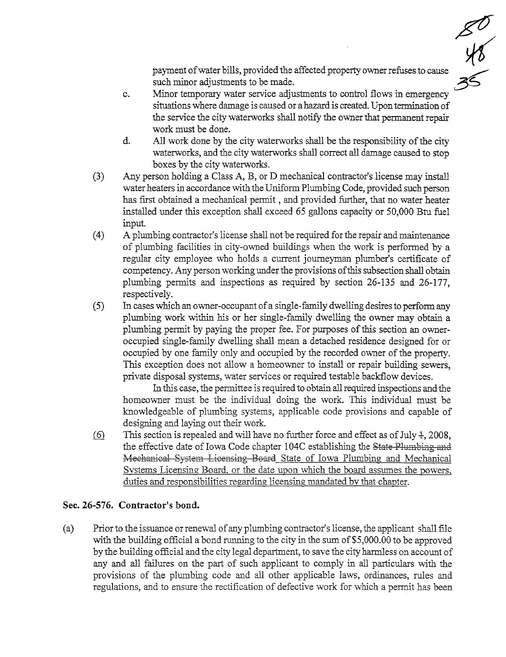$\frac{1}{\sqrt{5}}$  payment of water bills, provided the affected property owner refuses to cause such minor adjustments to be made.

- c. Minor temporary water service adjustments to control flows in emergency situations where damage is caused or a hazard is created. Upon termination of the service the city waterworks shall notify the owner that permanent repair work must be done.
- d. All work done by the city waterworks shall be the responsibility of the city waterworks, and the city waterworks shall correct all damage caused to stop boxes by the city waterworks.
- $(3)$  Any person holding a Class A, B, or D mechanical contractor's license may install water heaters in accordance with the Uniform Plumbing Code, provided such person has first obtained a mechanical permit, and provided further, that no water heater installed under this exception shall exceed 65 gallons capacity or 50,000 Btu fuel input.
- (4) A plumbing contractor's license shall not be required for the repair and maintenance of plumbing facilities in city-owned buildigs when the work is performed by a regular city employee who holds a current journeyman plumber's certificate of competency. Any person working under the provisions of this subsection shall obtain plumbing permts and inspections as required by section 26-135 and 26-177, respectively.
- $(5)$  In cases which an owner-occupant of a single-family dwelling desires to perform any plumbing work within his or her single-family dwelling the owner may obtain a plumbing permt by paying the proper fee. For puroses of ths section an owneroccupied single-famly dwelling shall mean a detached residence designed for or occupied by one famly only and occupied by the recorded owner of the propert. This exception does not allow a homeowner to install or repair building sewers, private disposal systems, water services or required testable backflow devices.

In this case, the permittee is required to obtain all required inspections and the homeowner must be the individual doing the work. Ths individual must be knowledgeable of plumbing systems, applicable code provisions and capable of designing and laying out their work.

 $(6)$  This section is repealed and will have no further force and effect as of July 4, 2008, the effective date of Iowa Code chapter 104C establishing the State Plumbing and Mechanical System Licensing Board State of Iowa Plumbing and Mechanical Systems Licensing Board. or the date upon which the board assumes the powers. duties and responsibilties regarding licensing mandated bv that chapter.

#### Sec.26-576. Contractor's bond.

(a) Prior to the issuace or renewal of any plumbing contractor's license, the applicant shall fie with the building official a bond running to the city in the sum of  $$5,000.00$  to be approved by the building official and the city legal department, to save the city harmless on account of any and all failures on the part of such applicant to comply in all particulars with the provisions of the plumbing code and all other applicable laws, ordiances, rues and regulations, and to ensure the rectification of defective work for which a permit has been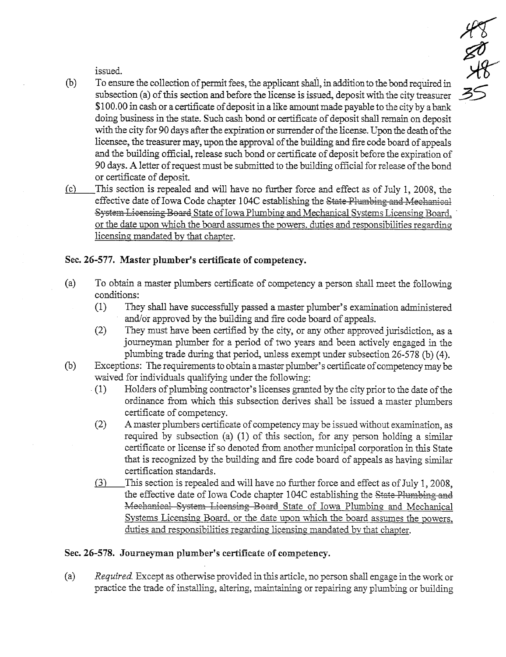issued.

(b) To ensure the collection of permit fees, the applicant shall, in addition to the bond required in subsection (a) of this section and before the license is issued, deposit with the city treasurer \$100.00 in cash or a certificate of deposit in a like amount made payable to the city by a bank doing business in the state. Such cash bond or certificate of deposit shall remain on deposit with the city for 90 days afer the expiration or surender of the license. Upon the death of the licensee, the treasurer may, upon the approval of the building and fire code board of appeals and the building official, release such bond or certificate of deposit before the expiration of 90 days. A letter of request must be submitted to the buidig offcial for release of the bond or certifcate of deposit.

 $\frac{1}{4}$ 

~

35

 $(c)$ This section is repealed and will have no further force and effect as of July 1, 2008, the effective date of Iowa Code chapter 104C establishing the State Plumbing and Mechanical System Licensing Board State of Iowa Plumbing and Mechanical Systems Licensing Board. or the date upon which the board assumes the powers, duties and responsibilities regarding licensing mandated by that chapter.

# Sec. 26-577. Master plumber's certificate of competency.

- (a) To obtain a master plumbers certificate of competency a person shall meet the following conditions:
	- $(1)$  They shall have successfully passed a master plumber's examination administered and/or approved by the building and fire code board of appeals.
	- $(2)$  They must have been certified by the city, or any other approved jurisdiction, as a joureyman plumber for a period of two years and been actively engaged in the plumbing trade during that period, unless exempt under subsection  $26-578$  (b) (4).
- (b) Exceptions: The requirements to obtain a master plumber's certificate of competency may be waived for individuals qualifying under the following:
	- . (1) Holders of plumbing contractor's licenses granted by the city prior to the date of the ordinance from which this subsection derives shall be issued a master plumbers certficate of competency.
	- (2) A master plumbers certificate of competency may be issued without examination, as required by subsection (a)  $(1)$  of this section, for any person holding a similar certificate or license if so denoted from another municipal corporation in this State that is recognized by the building and fire code board of appeals as having similar certification standards.
	- (3) This section is repealed and will have no further force and effect as of July 1, 2008. the effective date of Iowa Code chapter 104C establishing the State Plumbing and Mechanical System Licensing Board State of Iowa Plumbing and Mechanical Systems Licensing Board, or the date upon which the board assumes the powers. duties and responsibilities regarding licensing mandated by that chapter.

# Sec. 26-578. Journeyman plumber's certficate of competency.

(a) Required. Except as otherwise provided in this article, no person shall engage in the work or practice the trade of installing, altering, maintaining or repairing any plumbing or building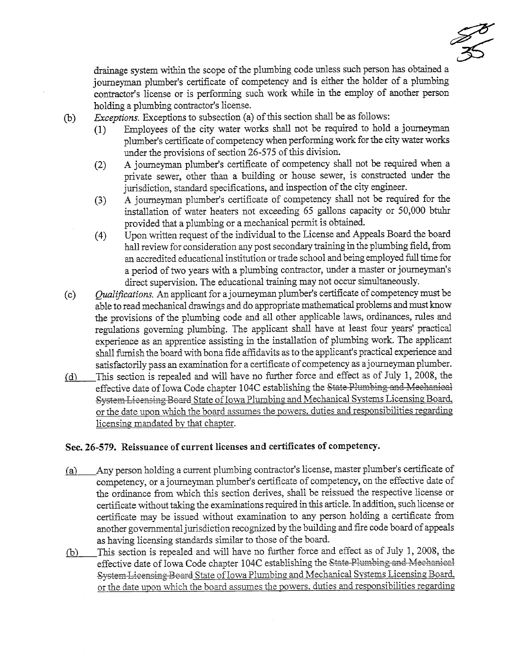550

drainage system within the scope of the plumbing code unless such person has obtained a journeyman plumber's certificate of competency and is either the holder of a plumbing contractor's license or is performing such work while in the employ of another person holdig a plumbing contractor's license.

(b)  $Exceptions.$  Exceptions to subsection (a) of this section shall be as follows:

- (1) Employees of the city water works shal not be requied to hold a joureyman plumber's certificate of competency when performing work for the city water works under the provisions of section 26-575 of this division.
- (2) A journeyman plumber's certificate of competency shall not be required when a private sewer, other than a building or house sewer, is constructed under the jurisdiction, standard specifications, and inspection of the city engineer.
- (3) A journeyman plumber's certificate of competency shall not be required for the installation of water heaters not exceeding 65 gallons capacity or 50,000 btuhr provided that a plumbing or a mechanical permit is obtained.
- (4) Upon written request of the individual to the License and Appeals Board the board hall review for consideration any post secondary training in the plumbing field, from an accredited educational institution or trade school and being employed full time for a period of two years with a plumbing contractor, under a maser or joureyman's direct supervision. The educational training may not occur simultaneously.
- $(c)$  Qualifications. An applicant for a journeyman plumber's certificate of competency must be able to read mechanical drawings and do appropriate mathematical problems and must know the provisions of the plumbing code and all other applicable laws, ordinances, rules and regulations governing plumbing. The applicant shall have at least four years' practical experience as an apprentice assisting in the installation of plumbing work. The applicant shall furnish the board with bona fide affidavits as to the applicant's practical experience and satisfactorily pass an examination for a certificate of competency as a journeyman plumber.
- $(d)$  This section is repealed and will have no further force and effect as of July 1, 2008, the effective date of Iowa Code chapter 104C establishing the State Plumbing and Mechanical System Licensing Board State of Iowa Plumbing and Mechanical Systems Licensing Board. or the date upon which the board assumes the powers. duties and responsibilities regarding licensing mandated bv that chapter.

# Sec. 26-579. Reissuance of current licenses and certificates of competency.

- (a) Any person holding a current plumbing contractor's license, master plumber's certificate of competency, or a joureyman plumber's certificate of competency, on the effective date of the ordinance from which this section derives, shall be reissued the respective license or certificate without taking the examinations required in this article. In addition, such license or certificate may be issued without examination to any person holding a certificate from another governmental jurisdiction recognized by the building and fire code board of appeals as having licensing standards similar to those of the board.
- (b) This section is repealed and will have no further force and effect as of July 1, 2008, the effective date of Iowa Code chapter 104C establishing the State Plumbing and Mechanical System Licensing Board State of Iowa Plumbing and Mechanical Systems Licensing Board. or the date upon which the board assumes the powers, duties and responsibilities regarding